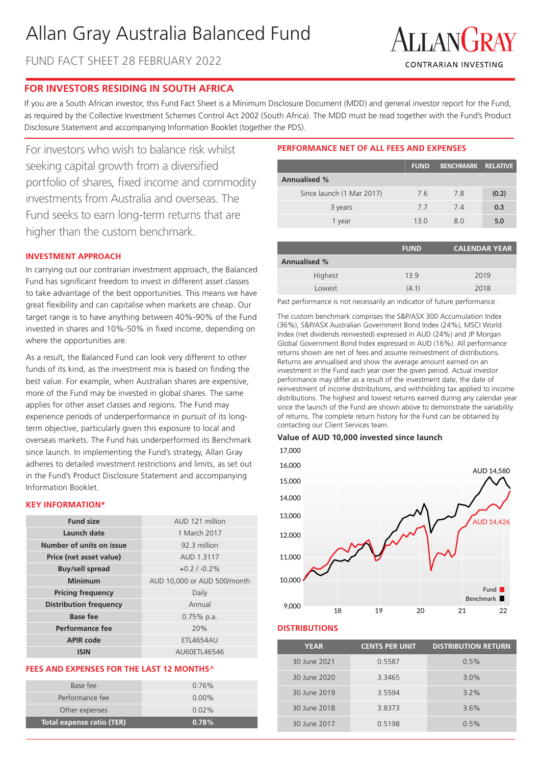# Allan Gray Australia Balanced Fund

FUND FACT SHEET 28 FEBRUARY 2022



# **FOR INVESTORS RESIDING IN SOUTH AFRICA**

If you are a South African investor, this Fund Fact Sheet is a Minimum Disclosure Document (MDD) and general investor report for the Fund, as required by the Collective Investment Schemes Control Act 2002 (South Africa). The MDD must be read together with the Fund's Product Disclosure Statement and accompanying Information Booklet (together the PDS).

For investors who wish to balance risk whilst seeking capital growth from a diversified portfolio of shares, fixed income and commodity investments from Australia and overseas. The Fund seeks to earn long-term returns that are higher than the custom benchmark.

# **INVESTMENT APPROACH**

In carrying out our contrarian investment approach, the Balanced Fund has significant freedom to invest in different asset classes to take advantage of the best opportunities. This means we have great flexibility and can capitalise when markets are cheap. Our target range is to have anything between 40%-90% of the Fund invested in shares and 10%-50% in fixed income, depending on where the opportunities are.

As a result, the Balanced Fund can look very different to other funds of its kind, as the investment mix is based on finding the best value. For example, when Australian shares are expensive, more of the Fund may be invested in global shares. The same applies for other asset classes and regions. The Fund may experience periods of underperformance in pursuit of its longterm objective, particularly given this exposure to local and overseas markets. The Fund has underperformed its Benchmark since launch. In implementing the Fund's strategy, Allan Gray adheres to detailed investment restrictions and limits, as set out in the Fund's Product Disclosure Statement and accompanying Information Booklet.

# **KEY INFORMATION\***

| <b>Fund size</b>              | AUD 121 million             |
|-------------------------------|-----------------------------|
| Launch date                   | 1 March 2017                |
| Number of units on issue      | 92.3 million                |
| Price (net asset value)       | AUD 1.3117                  |
| <b>Buy/sell spread</b>        | $+0.2$ / $-0.2%$            |
| Minimum                       | AUD 10,000 or AUD 500/month |
| <b>Pricing frequency</b>      | Daily                       |
| <b>Distribution frequency</b> | Annual                      |
| <b>Base fee</b>               | $0.75\%$ p.a.               |
| Performance fee               | 20%                         |
| <b>APIR code</b>              | <b>ETL4654AU</b>            |
| ISIN                          | AU60ETL46546                |

#### **FEES AND EXPENSES FOR THE LAST 12 MONTHS^**

| Total expense ratio (TER) | 0.78%    |
|---------------------------|----------|
| Other expenses            | $0.02\%$ |
| Performance fee           | $0.00\%$ |
| Base fee                  | $0.76\%$ |
|                           |          |

# **PERFORMANCE NET OF ALL FEES AND EXPENSES**

|                           | <b>FUND</b> | <b>BENCHMARK RELATIVE</b> |       |
|---------------------------|-------------|---------------------------|-------|
| <b>Annualised %</b>       |             |                           |       |
| Since launch (1 Mar 2017) | 7.6         | 7.8                       | (0.2) |
| 3 years                   | 77          | 74                        | 0.3   |
| 1 year                    | 13.0        | 80                        | 5.0   |
|                           |             |                           |       |

|                     | <b>FUND</b> | <b>CALENDAR YEAR</b> |
|---------------------|-------------|----------------------|
| <b>Annualised %</b> |             |                      |
| Highest             | 139         | 2019                 |
| Lowest              | (4.1)       | 2018                 |

Past performance is not necessarily an indicator of future performance.

The custom benchmark comprises the S&P/ASX 300 Accumulation Index (36%), S&P/ASX Australian Government Bond Index (24%), MSCI World Index (net dividends reinvested) expressed in AUD (24%) and JP Morgan Global Government Bond Index expressed in AUD (16%). All performance returns shown are net of fees and assume reinvestment of distributions. Returns are annualised and show the average amount earned on an investment in the Fund each year over the given period. Actual investor performance may differ as a result of the investment date, the date of reinvestment of income distributions, and withholding tax applied to income distributions. The highest and lowest returns earned during any calendar year since the launch of the Fund are shown above to demonstrate the variability of returns. The complete return history for the Fund can be obtained by contacting our Client Services team.

#### **Value of AUD 10,000 invested since launch**

17,000



# **DISTRIBUTIONS**

| <b>YEAR</b>  | <b>CENTS PER UNIT</b> | <b>DISTRIBUTION RETURN</b> |
|--------------|-----------------------|----------------------------|
| 30 June 2021 | 0.5587                | 0.5%                       |
| 30 June 2020 | 3.3465                | 3.0%                       |
| 30 June 2019 | 3.5594                | $3.2\%$                    |
| 30 June 2018 | 3.8373                | 3.6%                       |
| 30 June 2017 | 0.5198                | 0.5%                       |